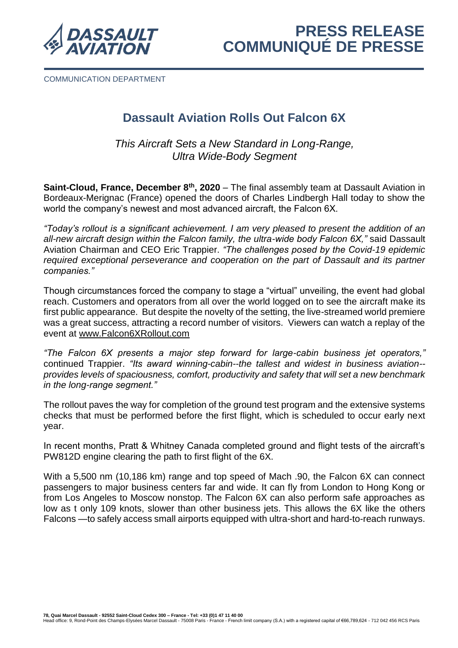

COMMUNICATION DEPARTMENT

# **Dassault Aviation Rolls Out Falcon 6X**

*This Aircraft Sets a New Standard in Long-Range, Ultra Wide-Body Segment*

**Saint-Cloud, France, December 8th , 2020** – The final assembly team at Dassault Aviation in Bordeaux-Merignac (France) opened the doors of Charles Lindbergh Hall today to show the world the company's newest and most advanced aircraft, the Falcon 6X.

*"Today's rollout is a significant achievement. I am very pleased to present the addition of an all-new aircraft design within the Falcon family, the ultra-wide body Falcon 6X,"* said Dassault Aviation Chairman and CEO Eric Trappier. *"The challenges posed by the Covid-19 epidemic required exceptional perseverance and cooperation on the part of Dassault and its partner companies."*

Though circumstances forced the company to stage a "virtual" unveiling, the event had global reach. Customers and operators from all over the world logged on to see the aircraft make its first public appearance. But despite the novelty of the setting, the live-streamed world premiere was a great success, attracting a record number of visitors. Viewers can watch a replay of the event at [www.Falcon6XRollout.com](http://www.falcon6xrollout.com/)

*"The Falcon 6X presents a major step forward for large-cabin business jet operators,"*  continued Trappier. *"Its award winning-cabin--the tallest and widest in business aviation- provides levels of spaciousness, comfort, productivity and safety that will set a new benchmark in the long-range segment."*

The rollout paves the way for completion of the ground test program and the extensive systems checks that must be performed before the first flight, which is scheduled to occur early next year.

In recent months, Pratt & Whitney Canada completed ground and flight tests of the aircraft's PW812D engine clearing the path to first flight of the 6X.

With a 5,500 nm (10,186 km) range and top speed of Mach .90, the Falcon 6X can connect passengers to major business centers far and wide. It can fly from London to Hong Kong or from Los Angeles to Moscow nonstop. The Falcon 6X can also perform safe approaches as low as t only 109 knots, slower than other business jets. This allows the 6X like the others Falcons —to safely access small airports equipped with ultra-short and hard-to-reach runways.